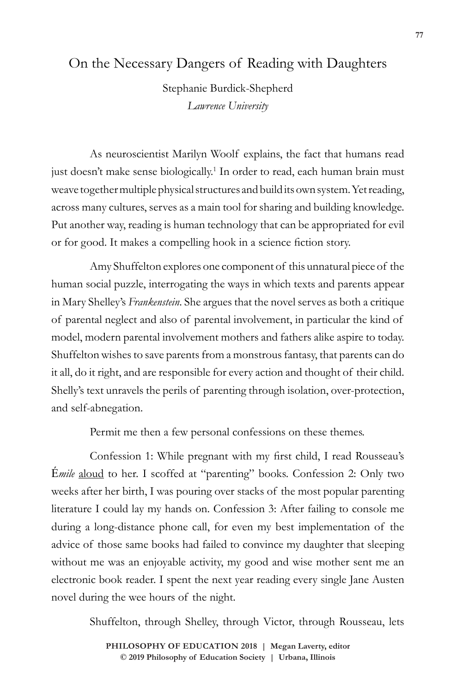## On the Necessary Dangers of Reading with Daughters

Stephanie Burdick-Shepherd *Lawrence University*

As neuroscientist Marilyn Woolf explains, the fact that humans read just doesn't make sense biologically.<sup>1</sup> In order to read, each human brain must weave together multiple physical structures and build its own system. Yet reading, across many cultures, serves as a main tool for sharing and building knowledge. Put another way, reading is human technology that can be appropriated for evil or for good. It makes a compelling hook in a science fiction story.

Amy Shuffelton explores one component of this unnatural piece of the human social puzzle, interrogating the ways in which texts and parents appear in Mary Shelley's *Frankenstein*. She argues that the novel serves as both a critique of parental neglect and also of parental involvement, in particular the kind of model, modern parental involvement mothers and fathers alike aspire to today. Shuffelton wishes to save parents from a monstrous fantasy, that parents can do it all, do it right, and are responsible for every action and thought of their child. Shelly's text unravels the perils of parenting through isolation, over-protection, and self-abnegation.

Permit me then a few personal confessions on these themes.

Confession 1: While pregnant with my first child, I read Rousseau's É*mile* aloud to her. I scoffed at "parenting" books. Confession 2: Only two weeks after her birth, I was pouring over stacks of the most popular parenting literature I could lay my hands on. Confession 3: After failing to console me during a long-distance phone call, for even my best implementation of the advice of those same books had failed to convince my daughter that sleeping without me was an enjoyable activity, my good and wise mother sent me an electronic book reader. I spent the next year reading every single Jane Austen novel during the wee hours of the night.

Shuffelton, through Shelley, through Victor, through Rousseau, lets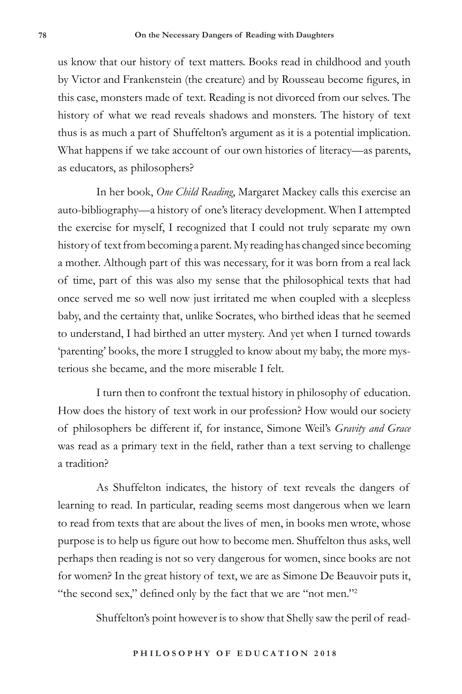us know that our history of text matters. Books read in childhood and youth by Victor and Frankenstein (the creature) and by Rousseau become figures, in this case, monsters made of text. Reading is not divorced from our selves. The history of what we read reveals shadows and monsters. The history of text thus is as much a part of Shuffelton's argument as it is a potential implication. What happens if we take account of our own histories of literacy—as parents, as educators, as philosophers?

In her book, *One Child Reading*, Margaret Mackey calls this exercise an auto-bibliography—a history of one's literacy development. When I attempted the exercise for myself, I recognized that I could not truly separate my own history of text from becoming a parent. My reading has changed since becoming a mother. Although part of this was necessary, for it was born from a real lack of time, part of this was also my sense that the philosophical texts that had once served me so well now just irritated me when coupled with a sleepless baby, and the certainty that, unlike Socrates, who birthed ideas that he seemed to understand, I had birthed an utter mystery. And yet when I turned towards 'parenting' books, the more I struggled to know about my baby, the more mysterious she became, and the more miserable I felt.

I turn then to confront the textual history in philosophy of education. How does the history of text work in our profession? How would our society of philosophers be different if, for instance, Simone Weil's *Gravity and Grace* was read as a primary text in the field, rather than a text serving to challenge a tradition?

As Shuffelton indicates, the history of text reveals the dangers of learning to read. In particular, reading seems most dangerous when we learn to read from texts that are about the lives of men, in books men wrote, whose purpose is to help us figure out how to become men. Shuffelton thus asks, well perhaps then reading is not so very dangerous for women, since books are not for women? In the great history of text, we are as Simone De Beauvoir puts it, "the second sex," defined only by the fact that we are "not men."<sup>2</sup>

Shuffelton's point however is to show that Shelly saw the peril of read-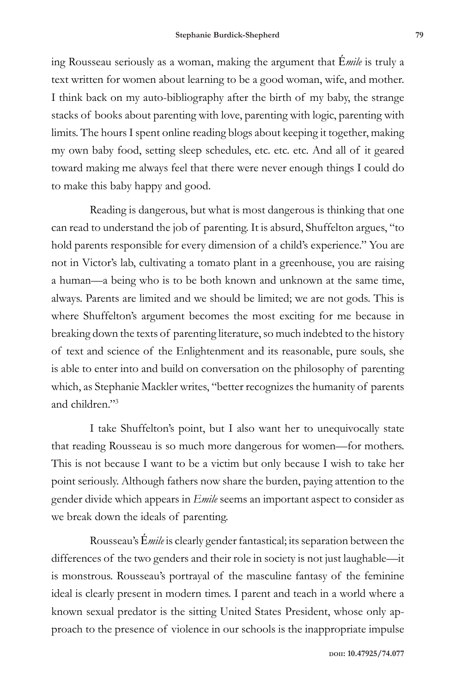ing Rousseau seriously as a woman, making the argument that É*mile* is truly a text written for women about learning to be a good woman, wife, and mother. I think back on my auto-bibliography after the birth of my baby, the strange stacks of books about parenting with love, parenting with logic, parenting with limits. The hours I spent online reading blogs about keeping it together, making my own baby food, setting sleep schedules, etc. etc. etc. And all of it geared toward making me always feel that there were never enough things I could do to make this baby happy and good.

Reading is dangerous, but what is most dangerous is thinking that one can read to understand the job of parenting. It is absurd, Shuffelton argues, "to hold parents responsible for every dimension of a child's experience." You are not in Victor's lab, cultivating a tomato plant in a greenhouse, you are raising a human—a being who is to be both known and unknown at the same time, always. Parents are limited and we should be limited; we are not gods. This is where Shuffelton's argument becomes the most exciting for me because in breaking down the texts of parenting literature, so much indebted to the history of text and science of the Enlightenment and its reasonable, pure souls, she is able to enter into and build on conversation on the philosophy of parenting which, as Stephanie Mackler writes, "better recognizes the humanity of parents and children."3

I take Shuffelton's point, but I also want her to unequivocally state that reading Rousseau is so much more dangerous for women—for mothers. This is not because I want to be a victim but only because I wish to take her point seriously. Although fathers now share the burden, paying attention to the gender divide which appears in *Emile* seems an important aspect to consider as we break down the ideals of parenting.

Rousseau's É*mile* is clearly gender fantastical; its separation between the differences of the two genders and their role in society is not just laughable—it is monstrous. Rousseau's portrayal of the masculine fantasy of the feminine ideal is clearly present in modern times. I parent and teach in a world where a known sexual predator is the sitting United States President, whose only approach to the presence of violence in our schools is the inappropriate impulse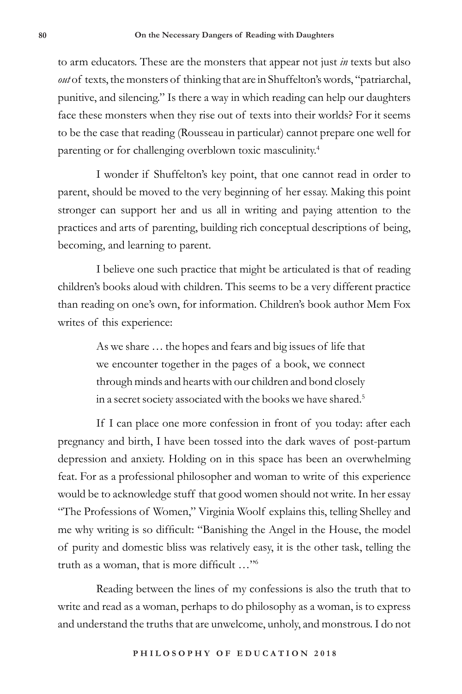to arm educators. These are the monsters that appear not just *in* texts but also *out* of texts, the monsters of thinking that are in Shuffelton's words, "patriarchal, punitive, and silencing." Is there a way in which reading can help our daughters face these monsters when they rise out of texts into their worlds? For it seems to be the case that reading (Rousseau in particular) cannot prepare one well for parenting or for challenging overblown toxic masculinity.4

I wonder if Shuffelton's key point, that one cannot read in order to parent, should be moved to the very beginning of her essay. Making this point stronger can support her and us all in writing and paying attention to the practices and arts of parenting, building rich conceptual descriptions of being, becoming, and learning to parent.

I believe one such practice that might be articulated is that of reading children's books aloud with children. This seems to be a very different practice than reading on one's own, for information. Children's book author Mem Fox writes of this experience:

> As we share … the hopes and fears and big issues of life that we encounter together in the pages of a book, we connect through minds and hearts with our children and bond closely in a secret society associated with the books we have shared.<sup>5</sup>

If I can place one more confession in front of you today: after each pregnancy and birth, I have been tossed into the dark waves of post-partum depression and anxiety. Holding on in this space has been an overwhelming feat. For as a professional philosopher and woman to write of this experience would be to acknowledge stuff that good women should not write. In her essay "The Professions of Women," Virginia Woolf explains this, telling Shelley and me why writing is so difficult: "Banishing the Angel in the House, the model of purity and domestic bliss was relatively easy, it is the other task, telling the truth as a woman, that is more difficult …"6

Reading between the lines of my confessions is also the truth that to write and read as a woman, perhaps to do philosophy as a woman, is to express and understand the truths that are unwelcome, unholy, and monstrous. I do not